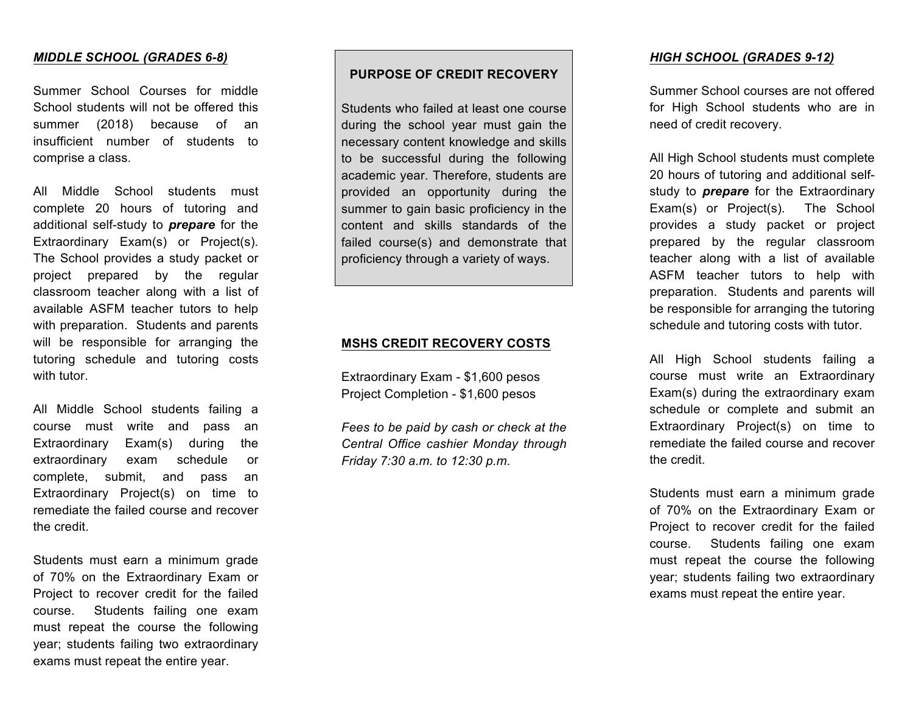### *MIDDLE SCHOOL (GRADES 6-8)*

Summer School Courses for middle School students will not be offered this summer (2018) because of an insufficient number of students to comprise a class.

All Middle School students must complete 20 hours of tutoring and additional self-study to *prepare* for the Extraordinary Exam(s) or Project(s). The School provides a study packet or project prepared by the regular classroom teacher along with a list of available ASFM teacher tutors to help with preparation. Students and parents will be responsible for arranging the tutoring schedule and tutoring costs with tutor.

All Middle School students failing a course must write and pass an Extraordinary Exam(s) during the extraordinary exam schedule or complete, submit, and pass an Extraordinary Project(s) on time to remediate the failed course and recover the credit.

Students must earn a minimum grade of 70% on the Extraordinary Exam or Project to recover credit for the failed course. Students failing one exam must repeat the course the following year; students failing two extraordinary exams must repeat the entire year.

# **PURPOSE OF CREDIT RECOVERY**

Students who failed at least one course during the school year must gain the necessary content knowledge and skills to be successful during the following academic year. Therefore, students are provided an opportunity during the summer to gain basic proficiency in the content and skills standards of the failed course(s) and demonstrate that proficiency through a variety of ways.

## **MSHS CREDIT RECOVERY COSTS**

Extraordinary Exam - \$1,600 pesos Project Completion - \$1,600 pesos

*Fees to be paid by cash or check at the Central Office cashier Monday through Friday 7:30 a.m. to 12:30 p.m.*

#### *HIGH SCHOOL (GRADES 9-12)*

Summer School courses are not offered for High School students who are in need of credit recovery.

All High School students must complete 20 hours of tutoring and additional selfstudy to *prepare* for the Extraordinary Exam(s) or Project(s). The School provides a study packet or project prepared by the regular classroom teacher along with a list of available ASFM teacher tutors to help with preparation. Students and parents will be responsible for arranging the tutoring schedule and tutoring costs with tutor.

All High School students failing a course must write an Extraordinary Exam(s) during the extraordinary exam schedule or complete and submit an Extraordinary Project(s) on time to remediate the failed course and recover the credit.

Students must earn a minimum grade of 70% on the Extraordinary Exam or Project to recover credit for the failed course. Students failing one exam must repeat the course the following year; students failing two extraordinary exams must repeat the entire year.